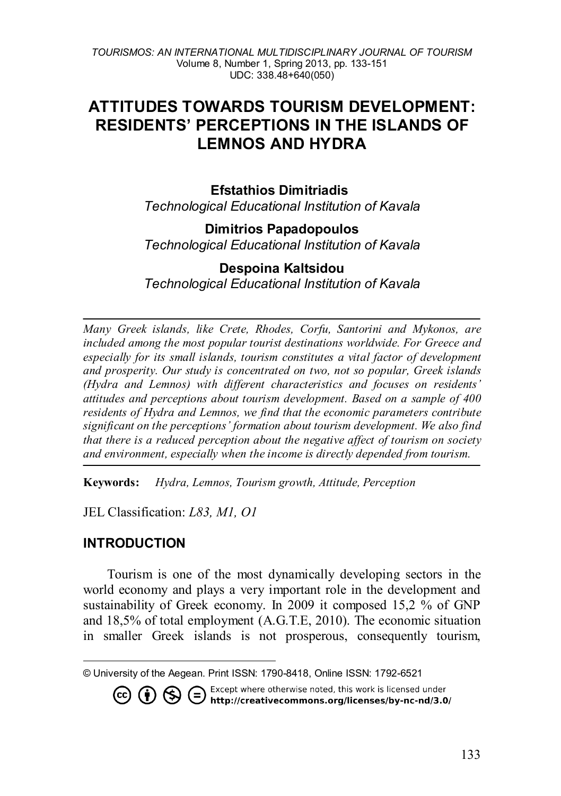# **ATTITUDES TOWARDS TOURISM DEVELOPMENT: RESIDENTS' PERCEPTIONS IN THE ISLANDS OF LEMNOS AND HYDRA**

### **Efstathios Dimitriadis**

*Technological Educational Institution of Kavala* 

### **Dimitrios Papadopoulos**

*Technological Educational Institution of Kavala* 

### **Despoina Kaltsidou**

*Technological Educational Institution of Kavala*

*Many Greek islands, like Crete, Rhodes, Corfu, Santorini and Mykonos, are included among the most popular tourist destinations worldwide. For Greece and especially for its small islands, tourism constitutes a vital factor of development and prosperity. Our study is concentrated on two, not so popular, Greek islands (Hydra and Lemnos) with different characteristics and focuses on residents' attitudes and perceptions about tourism development. Based on a sample of 400 residents of Hydra and Lemnos, we find that the economic parameters contribute significant on the perceptions' formation about tourism development. We also find that there is a reduced perception about the negative affect of tourism on society and environment, especially when the income is directly depended from tourism.* 

**Keywords:** *Hydra, Lemnos, Tourism growth, Attitude, Perception*

JEL Classification: *L83, M1, O1*

### **INTRODUCTION**

 $\overline{a}$ 

Tourism is one of the most dynamically developing sectors in the world economy and plays a very important role in the development and sustainability of Greek economy. In 2009 it composed 15,2 % of GNP and 18,5% of total employment (A.G.T.E, 2010). The economic situation in smaller Greek islands is not prosperous, consequently tourism,

**CO (i)**  $\bigoplus$  **C** Except where otherwise noted, this work is licensed under **http://creativecommons.org/licenses/by-nc-nd/3.0/** 

<span id="page-0-0"></span><sup>©</sup> University of the Aegean. Print ISSN: 1790-8418, Online ISSN: 1792-6521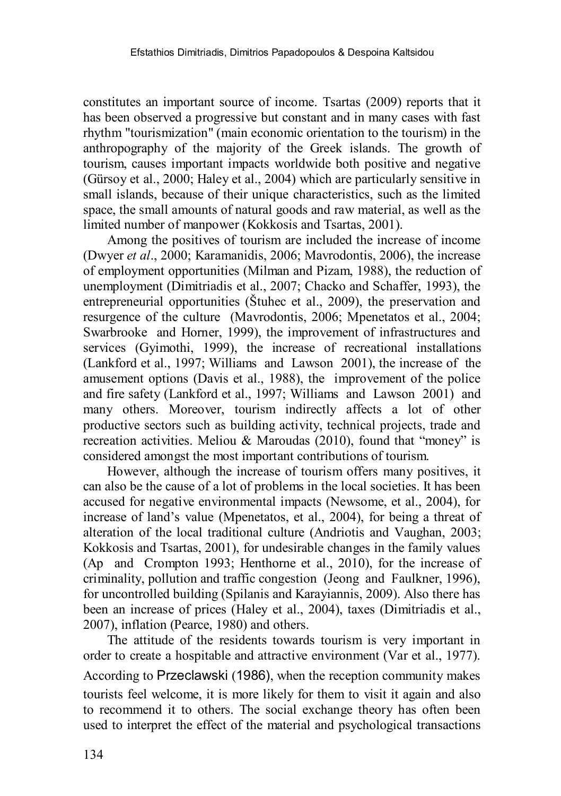constitutes an important source of income. Tsartas (2009) reports that it has been observed a progressive but constant and in many cases with fast rhythm "tourismization" (main economic orientation to the tourism) in the anthropography of the majority of the Greek islands. The growth of tourism, causes important impacts worldwide both positive and negative (Gürsoy et al., 2000; Haley et al., 2004) which are particularly sensitive in small islands, because of their unique characteristics, such as the limited space, the small amounts of natural goods and raw material, as well as the limited number of manpower (Kokkosis and Tsartas, 2001).

Among the positives of tourism are included the increase of income (Dwyer *et al*., 2000; Karamanidis, 2006; Mavrodontis, 2006), the increase of employment opportunities (Milman and Pizam, 1988), the reduction of unemployment (Dimitriadis et al., 2007; Chacko and Schaffer, 1993), the entrepreneurial opportunities (Štuhec et al., 2009), the preservation and resurgence of the culture (Mavrodontis, 2006; Mpenetatos et al., 2004; Swarbrooke and Horner, 1999), the improvement of infrastructures and services (Gyimothi, 1999), the increase of recreational installations (Lankford et al., 1997; Williams and Lawson 2001), the increase of the amusement options (Davis et al., 1988), the improvement of the police and fire safety (Lankford et al., 1997; Williams and Lawson 2001) and many others. Moreover, tourism indirectly affects a lot of other productive sectors such as building activity, technical projects, trade and recreation activities. Meliou & Maroudas (2010), found that "money" is considered amongst the most important contributions of tourism.

However, although the increase of tourism offers many positives, it can also be the cause of a lot of problems in the local societies. It has been accused for negative environmental impacts (Newsome, et al., 2004), for increase of land's value (Mpenetatos, et al., 2004), for being a threat of alteration of the local traditional culture (Andriotis and Vaughan, 2003; Kokkosis and Tsartas, 2001), for undesirable changes in the family values (Ap and Crompton 1993; Henthorne et al., 2010), for the increase of criminality, pollution and traffic congestion (Jeong and Faulkner, 1996), for uncontrolled building (Spilanis and Karayiannis, 2009). Also there has been an increase of prices (Haley et al., 2004), taxes (Dimitriadis et al., 2007), inflation (Pearce, 1980) and others.

The attitude of the residents towards tourism is very important in order to create a hospitable and attractive environment (Var et al., 1977). According to Przeclawski (1986), when the reception community makes tourists feel welcome, it is more likely for them to visit it again and also to recommend it to others. The social exchange theory has often been used to interpret the effect of the material and psychological transactions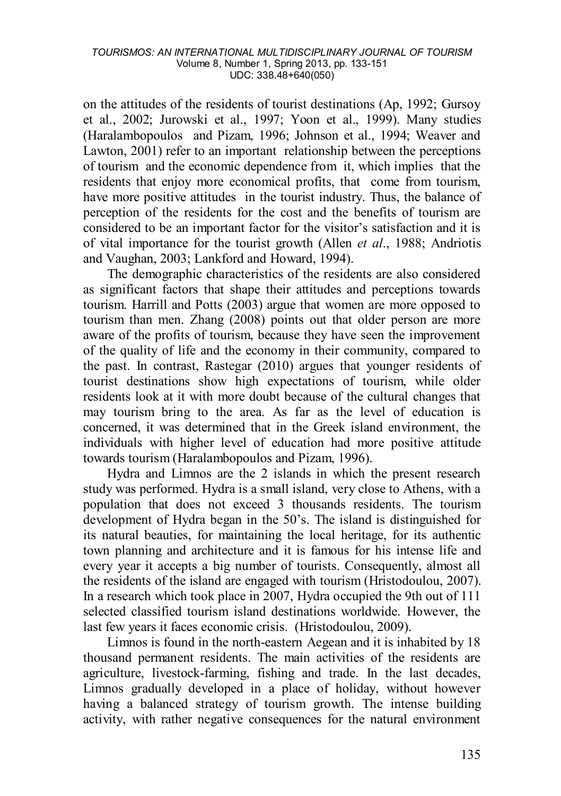on the attitudes of the residents of tourist destinations (Ap, 1992; Gursoy et al., 2002; Jurowski et al., 1997; Yoon et al., 1999). Many studies (Haralambopoulos and Pizam, 1996; Johnson et al., 1994; Weaver and Lawton, 2001) refer to an important relationship between the perceptions of tourism and the economic dependence from it, which implies that the residents that enjoy more economical profits, that come from tourism, have more positive attitudes in the tourist industry. Thus, the balance of perception of the residents for the cost and the benefits of tourism are considered to be an important factor for the visitor's satisfaction and it is of vital importance for the tourist growth (Allen *et al*., 1988; Andriotis and Vaughan, 2003; Lankford and Howard, 1994).

The demographic characteristics of the residents are also considered as significant factors that shape their attitudes and perceptions towards tourism. Harrill and Potts (2003) argue that women are more opposed to tourism than men. Zhang (2008) points out that older person are more aware of the profits of tourism, because they have seen the improvement of the quality of life and the economy in their community, compared to the past. In contrast, Rastegar (2010) argues that younger residents of tourist destinations show high expectations of tourism, while older residents look at it with more doubt because of the cultural changes that may tourism bring to the area. As far as the level of education is concerned, it was determined that in the Greek island environment, the individuals with higher level of education had more positive attitude towards tourism (Haralambopoulos and Pizam, 1996).

Hydra and Limnos are the 2 islands in which the present research study was performed. Hydra is a small island, very close to Athens, with a population that does not exceed 3 thousands residents. The tourism development of Hydra began in the 50's. The island is distinguished for its natural beauties, for maintaining the local heritage, for its authentic town planning and architecture and it is famous for his intense life and every year it accepts a big number of tourists. Consequently, almost all the residents of the island are engaged with tourism (Hristodoulou, 2007). In a research which took place in 2007, Hydra occupied the 9th out of 111 selected classified tourism island destinations worldwide. However, the last few years it faces economic crisis. (Hristodoulou, 2009).

Limnos is found in the north-eastern Aegean and it is inhabited by 18 thousand permanent residents. The main activities of the residents are agriculture, livestock-farming, fishing and trade. In the last decades, Limnos gradually developed in a place of holiday, without however having a balanced strategy of tourism growth. The intense building activity, with rather negative consequences for the natural environment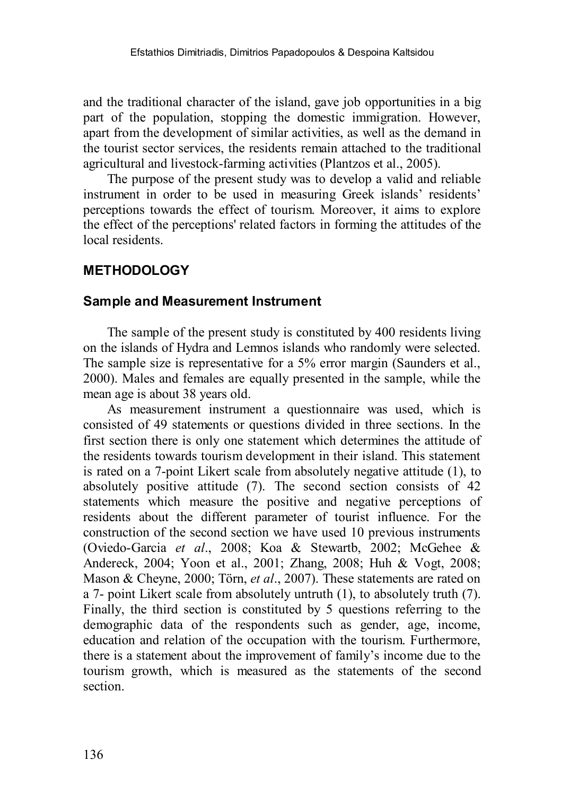and the traditional character of the island, gave job opportunities in a big part of the population, stopping the domestic immigration. However, apart from the development of similar activities, as well as the demand in the tourist sector services, the residents remain attached to the traditional agricultural and livestock-farming activities (Plantzos et al., 2005).

The purpose of the present study was to develop a valid and reliable instrument in order to be used in measuring Greek islands' residents' perceptions towards the effect of tourism. Moreover, it aims to explore the effect of the perceptions' related factors in forming the attitudes of the local residents.

# **METHODOLOGY**

### **Sample and Measurement Instrument**

The sample of the present study is constituted by 400 residents living on the islands of Hydra and Lemnos islands who randomly were selected. The sample size is representative for a 5% error margin (Saunders et al., 2000). Males and females are equally presented in the sample, while the mean age is about 38 years old.

As measurement instrument a questionnaire was used, which is consisted of 49 statements or questions divided in three sections. In the first section there is only one statement which determines the attitude of the residents towards tourism development in their island. This statement is rated on a 7-point Likert scale from absolutely negative attitude (1), to absolutely positive attitude (7). The second section consists of 42 statements which measure the positive and negative perceptions of residents about the different parameter of tourist influence. For the construction of the second section we have used 10 previous instruments (Oviedo-Garcia *et al*., 2008; Koa & Stewartb, 2002; McGehee & Andereck, 2004; Yoon et al., 2001; Zhang, 2008; Huh & Vogt, 2008; Mason & Cheyne, 2000; Törn, *et al*., 2007). These statements are rated on a 7- point Likert scale from absolutely untruth (1), to absolutely truth (7). Finally, the third section is constituted by 5 questions referring to the demographic data of the respondents such as gender, age, income, education and relation of the occupation with the tourism. Furthermore, there is a statement about the improvement of family's income due to the tourism growth, which is measured as the statements of the second section.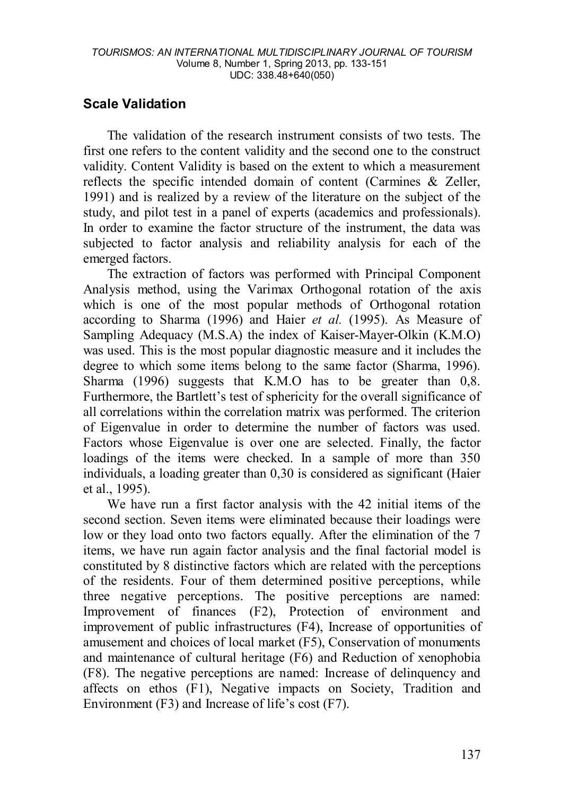# **Scale Validation**

The validation of the research instrument consists of two tests. The first one refers to the content validity and the second one to the construct validity. Content Validity is based on the extent to which a measurement reflects the specific intended domain of content (Carmines & Zeller, 1991) and is realized by a review of the literature on the subject of the study, and pilot test in a panel of experts (academics and professionals). In order to examine the factor structure of the instrument, the data was subjected to factor analysis and reliability analysis for each of the emerged factors.

The extraction of factors was performed with Principal Component Analysis method, using the Varimax Orthogonal rotation of the axis which is one of the most popular methods of Orthogonal rotation according to Sharma (1996) and Haier *et al.* (1995). As Measure of Sampling Adequacy (M.S.A) the index of Kaiser-Mayer-Olkin (K.M.O) was used. This is the most popular diagnostic measure and it includes the degree to which some items belong to the same factor (Sharma, 1996). Sharma (1996) suggests that K.M.O has to be greater than 0,8. Furthermore, the Bartlett's test of sphericity for the overall significance of all correlations within the correlation matrix was performed. The criterion of Eigenvalue in order to determine the number of factors was used. Factors whose Eigenvalue is over one are selected. Finally, the factor loadings of the items were checked. In a sample of more than 350 individuals, a loading greater than 0,30 is considered as significant (Haier et al., 1995).

We have run a first factor analysis with the 42 initial items of the second section. Seven items were eliminated because their loadings were low or they load onto two factors equally. After the elimination of the 7 items, we have run again factor analysis and the final factorial model is constituted by 8 distinctive factors which are related with the perceptions of the residents. Four of them determined positive perceptions, while three negative perceptions. The positive perceptions are named: Improvement of finances (F2), Protection of environment and improvement of public infrastructures (F4), Increase of opportunities of amusement and choices of local market (F5), Conservation of monuments and maintenance of cultural heritage (F6) and Reduction of xenophobia (F8). The negative perceptions are named: Increase of delinquency and affects on ethos (F1), Negative impacts on Society, Tradition and Environment (F3) and Increase of life's cost (F7).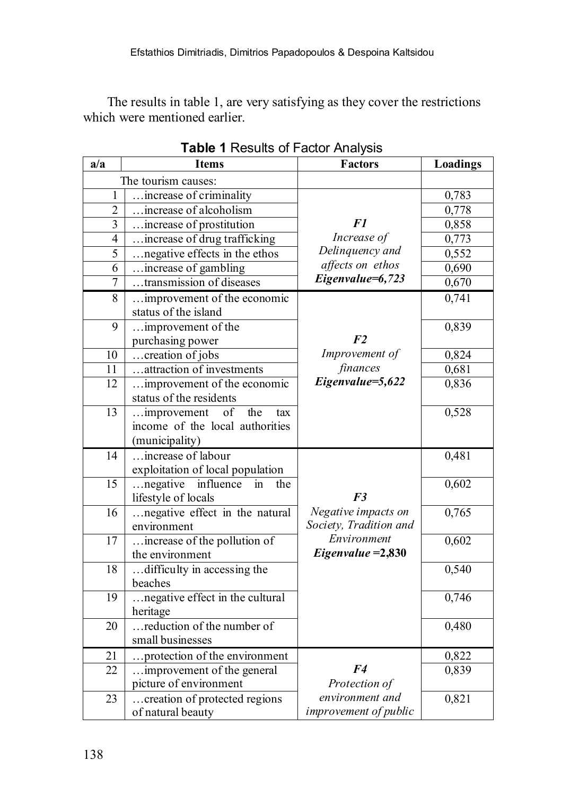The results in table 1, are very satisfying as they cover the restrictions which were mentioned earlier.

| a/a            | <b>Items</b>                           | <b>Factors</b>                   | Loadings |
|----------------|----------------------------------------|----------------------------------|----------|
|                | The tourism causes:                    |                                  |          |
| 1              | increase of criminality                |                                  | 0,783    |
| $\overline{2}$ | increase of alcoholism                 |                                  | 0,778    |
| 3              | increase of prostitution               | F1                               | 0,858    |
| $\overline{4}$ | increase of drug trafficking           | Increase of                      | 0,773    |
| $\overline{5}$ | negative effects in the ethos          | Delinquency and                  | 0,552    |
| 6              | increase of gambling                   | affects on ethos                 | 0,690    |
| $\overline{7}$ | transmission of diseases               | Eigenvalue=6,723                 | 0,670    |
| $\overline{8}$ | improvement of the economic            |                                  | 0,741    |
|                | status of the island                   |                                  |          |
| 9              | improvement of the                     |                                  | 0,839    |
|                | purchasing power                       | F <sub>2</sub>                   |          |
| 10             | creation of jobs                       | Improvement of                   | 0,824    |
| 11             | attraction of investments              | finances                         | 0,681    |
| 12             | improvement of the economic            | Eigenvalue=5,622                 | 0,836    |
|                | status of the residents                |                                  |          |
| 13             | the<br>improvement<br>of<br>tax        |                                  | 0,528    |
|                | income of the local authorities        |                                  |          |
|                | (municipality)                         |                                  |          |
| 14             | increase of labour                     |                                  | 0,481    |
|                | exploitation of local population       |                                  |          |
| 15             | negative<br>influence<br>in<br>the     |                                  | 0,602    |
|                | lifestyle of locals                    | F <sub>3</sub>                   |          |
| 16             | negative effect in the natural         | Negative impacts on              | 0,765    |
|                | environment                            | Society, Tradition and           |          |
| 17             | increase of the pollution of           | Environment                      | 0,602    |
|                | the environment                        | $Eigenvalue = 2,830$             |          |
| 18             | difficulty in accessing the            |                                  | 0,540    |
|                | beaches                                |                                  |          |
| 19             | negative effect in the cultural        |                                  | 0,746    |
|                | heritage<br>reduction of the number of |                                  |          |
| 20             |                                        |                                  | 0,480    |
|                | small businesses                       |                                  |          |
| 21             | protection of the environment          |                                  | 0,822    |
| 22             | improvement of the general             | F <sub>4</sub>                   | 0,839    |
|                | picture of environment                 | Protection of<br>environment and |          |
| 23             | creation of protected regions          | improvement of public            | 0,821    |
|                | of natural beauty                      |                                  |          |

**Table 1** Results of Factor Analysis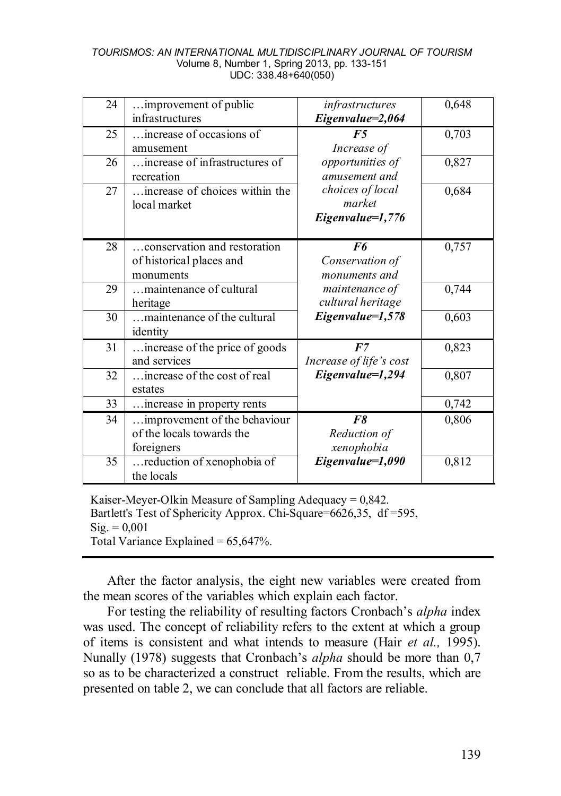| 24 | improvement of public<br>infrastructures                                | infrastructures<br>Eigenvalue=2,064            | 0,648 |
|----|-------------------------------------------------------------------------|------------------------------------------------|-------|
| 25 | increase of occasions of<br>amusement                                   | F5<br>Increase of                              | 0,703 |
| 26 | increase of infrastructures of<br>recreation                            | opportunities of<br>amusement and              | 0,827 |
| 27 | increase of choices within the<br>local market                          | choices of local<br>market<br>Eigenvalue=1,776 | 0,684 |
| 28 | conservation and restoration<br>of historical places and<br>monuments   | F6<br>Conservation of<br>monuments and         | 0,757 |
| 29 | maintenance of cultural<br>heritage                                     | maintenance of<br>cultural heritage            | 0,744 |
| 30 | maintenance of the cultural<br>identity                                 | Eigenvalue=1,578                               | 0,603 |
| 31 | increase of the price of goods<br>and services                          | F7<br>Increase of life's cost                  | 0,823 |
| 32 | increase of the cost of real<br>estates                                 | Eigenvalue=1,294                               | 0,807 |
| 33 | increase in property rents                                              |                                                | 0,742 |
| 34 | improvement of the behaviour<br>of the locals towards the<br>foreigners | F8<br>Reduction of<br>xenophobia               | 0,806 |
| 35 | reduction of xenophobia of<br>the locals                                | Eigenvalue=1,090                               | 0,812 |

Kaiser-Meyer-Olkin Measure of Sampling Adequacy = 0,842. Bartlett's Test of Sphericity Approx. Chi-Square=6626,35, df =595,  $\text{Sig.} = 0.001$ Total Variance Explained  $= 65,647\%$ .

After the factor analysis, the eight new variables were created from the mean scores of the variables which explain each factor.

For testing the reliability of resulting factors Cronbach's *alpha* index was used. The concept of reliability refers to the extent at which a group of items is consistent and what intends to measure (Hair *et al.,* 1995). Nunally (1978) suggests that Cronbach's *alpha* should be more than 0,7 so as to be characterized a construct reliable. From the results, which are presented on table 2, we can conclude that all factors are reliable.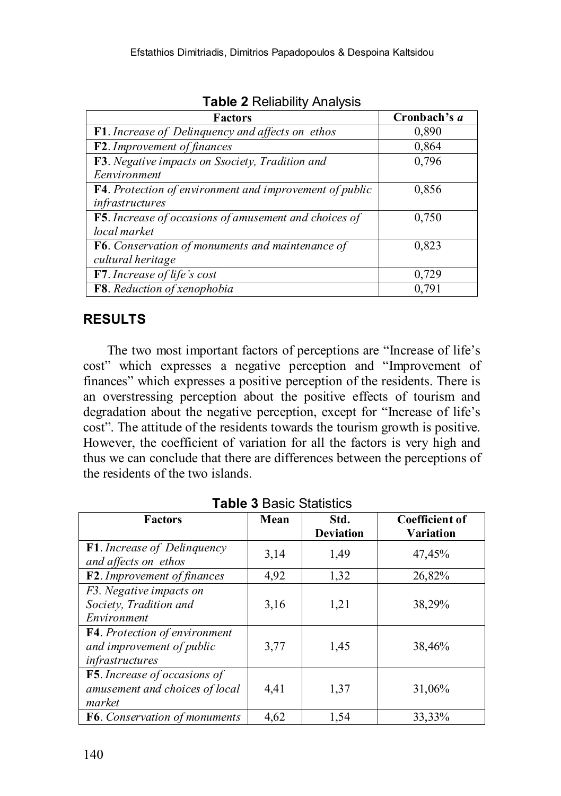| <b>Factors</b>                                                  | Cronbach's a |
|-----------------------------------------------------------------|--------------|
| <b>F1</b> . Increase of Delinguency and affects on ethos        | 0,890        |
| F2. Improvement of finances                                     | 0,864        |
| F3. Negative impacts on Ssociety, Tradition and                 | 0.796        |
| Eenvironment                                                    |              |
| <b>F4</b> . Protection of environment and improvement of public | 0,856        |
| infrastructures                                                 |              |
| F5. Increase of occasions of amusement and choices of           | 0,750        |
| local market                                                    |              |
| <b>F6.</b> Conservation of monuments and maintenance of         | 0,823        |
| cultural heritage                                               |              |
| <b>F7</b> . Increase of life's cost                             | 0,729        |
| <b>F8</b> . Reduction of xenophobia                             | 0.791        |

**Table 2** Reliability Analysis

# **RESULTS**

The two most important factors of perceptions are "Increase of life's cost" which expresses a negative perception and "Improvement of finances" which expresses a positive perception of the residents. There is an overstressing perception about the positive effects of tourism and degradation about the negative perception, except for "Increase of life's cost". The attitude of the residents towards the tourism growth is positive. However, the coefficient of variation for all the factors is very high and thus we can conclude that there are differences between the perceptions of the residents of the two islands.

| <b>Factors</b>                 | Mean | Std.<br><b>Deviation</b> | <b>Coefficient of</b><br><b>Variation</b> |
|--------------------------------|------|--------------------------|-------------------------------------------|
|                                |      |                          |                                           |
| F1. Increase of Delinquency    | 3,14 | 1.49                     | 47,45%                                    |
| and affects on ethos           |      |                          |                                           |
| F2. Improvement of finances    | 4,92 | 1,32                     | 26,82%                                    |
| F3. Negative impacts on        |      |                          |                                           |
| Society, Tradition and         | 3,16 | 1,21                     | 38,29%                                    |
| Environment                    |      |                          |                                           |
| F4. Protection of environment  |      |                          |                                           |
| and improvement of public      | 3,77 | 1,45                     | 38,46%                                    |
| infrastructures                |      |                          |                                           |
| F5. Increase of occasions of   |      |                          |                                           |
| amusement and choices of local | 4,41 | 1,37                     | 31,06%                                    |
| market                         |      |                          |                                           |
| F6. Conservation of monuments  | 4.62 | 1,54                     | 33.33%                                    |

**Table 3** Basic Statistics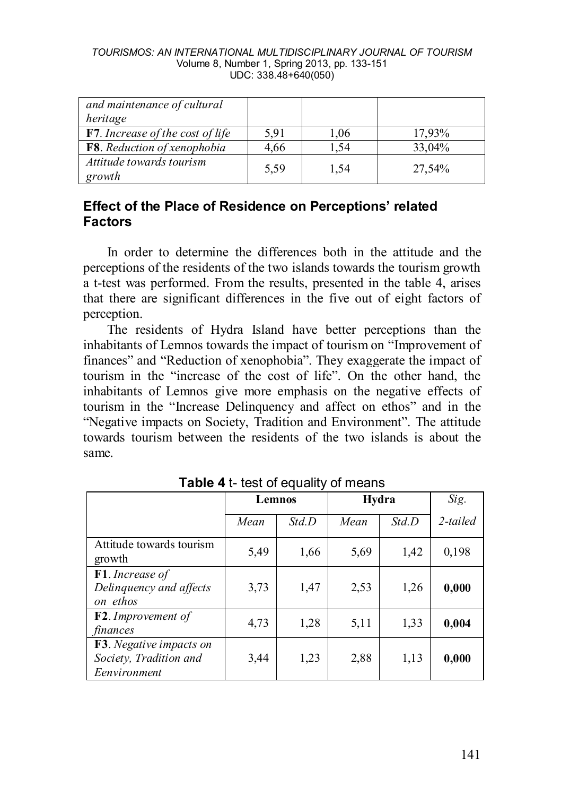| and maintenance of cultural<br>heritage |      |      |        |
|-----------------------------------------|------|------|--------|
| <b>F7.</b> Increase of the cost of life | 5.91 | 1.06 | 17,93% |
| F8. Reduction of xenophobia             | 4,66 | 1.54 | 33,04% |
| Attitude towards tourism<br>growth      | 5.59 | 1.54 | 27,54% |

### **Effect of the Place of Residence on Perceptions' related Factors**

In order to determine the differences both in the attitude and the perceptions of the residents of the two islands towards the tourism growth a t-test was performed. From the results, presented in the table 4, arises that there are significant differences in the five out of eight factors of perception.

The residents of Hydra Island have better perceptions than the inhabitants of Lemnos towards the impact of tourism on "Improvement of finances" and "Reduction of xenophobia". They exaggerate the impact of tourism in the "increase of the cost of life". On the other hand, the inhabitants of Lemnos give more emphasis on the negative effects of tourism in the "Increase Delinquency and affect on ethos" and in the "Negative impacts on Society, Tradition and Environment". The attitude towards tourism between the residents of the two islands is about the same.

|                                                                           | Lemnos |       | Hydra |       | Sig.        |
|---------------------------------------------------------------------------|--------|-------|-------|-------|-------------|
|                                                                           | Mean   | Std.D | Mean  | Std.D | $2$ -tailed |
| Attitude towards tourism<br>growth                                        | 5.49   | 1,66  | 5,69  | 1,42  | 0,198       |
| F1. Increase of<br>Delinguency and affects<br>on ethos                    | 3,73   | 1,47  | 2.53  | 1,26  | 0,000       |
| <b>F2</b> . Improvement of<br>finances                                    | 4,73   | 1,28  | 5,11  | 1.33  | 0,004       |
| <b>F3</b> . Negative impacts on<br>Society, Tradition and<br>Eenvironment | 3,44   | 1,23  | 2,88  | 1,13  | 0,000       |

**Table 4** t- test of equality of means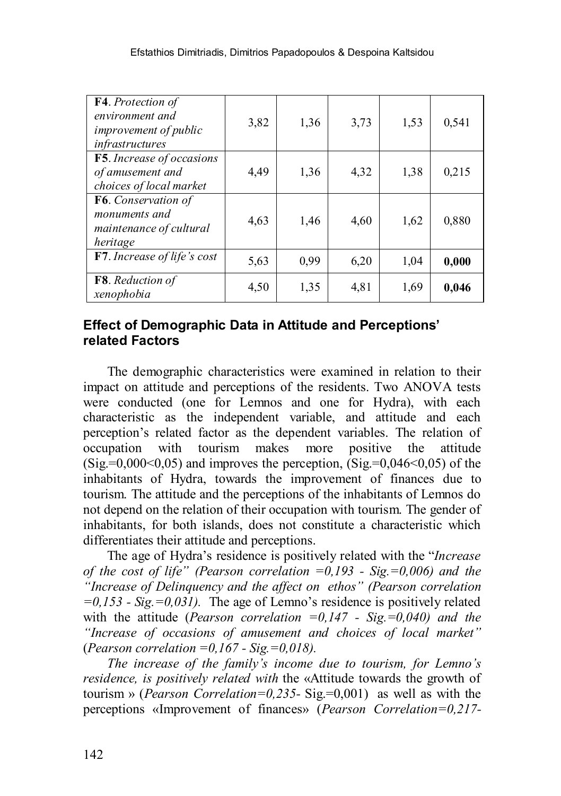| F4. Protection of<br>environment and<br><i>improvement of public</i><br>infrastructures | 3,82 | 1,36 | 3,73 | 1.53 | 0,541 |
|-----------------------------------------------------------------------------------------|------|------|------|------|-------|
| <b>F5</b> . Increase of occasions<br>of amusement and<br>choices of local market        | 4,49 | 1,36 | 4,32 | 1.38 | 0,215 |
| F6. Conservation of<br>monuments and<br>maintenance of cultural<br>heritage             | 4,63 | 1,46 | 4,60 | 1,62 | 0,880 |
| F7. Increase of life's cost                                                             | 5.63 | 0.99 | 6,20 | 1,04 | 0,000 |
| <b>F8</b> . Reduction of<br>xenophobia                                                  | 4,50 | 1,35 | 4,81 | 1,69 | 0,046 |

### **Effect of Demographic Data in Attitude and Perceptions' related Factors**

The demographic characteristics were examined in relation to their impact on attitude and perceptions of the residents. Two ANOVA tests were conducted (one for Lemnos and one for Hydra), with each characteristic as the independent variable, and attitude and each perception's related factor as the dependent variables. The relation of occupation with tourism makes more positive the attitude  $(Sig = 0.000 < 0.05)$  and improves the perception,  $(Sig = 0.046 < 0.05)$  of the inhabitants of Hydra, towards the improvement of finances due to tourism. The attitude and the perceptions of the inhabitants of Lemnos do not depend on the relation of their occupation with tourism. The gender of inhabitants, for both islands, does not constitute a characteristic which differentiates their attitude and perceptions.

The age of Hydra's residence is positively related with the "*Increase of the cost of life" (Pearson correlation =0,193 - Sig.=0,006) and the "Increase of Delinquency and the affect on ethos" (Pearson correlation =0,153 - Sig.=0,031).* The age of Lemno's residence is positively related with the attitude (*Pearson correlation =0,147 - Sig.=0,040) and the "Increase of occasions of amusement and choices of local market"*  (*Pearson correlation =0,167 - Sig.=0,018).*

*The increase of the family's income due to tourism, for Lemno's residence, is positively related with* the «Attitude towards the growth of tourism » (*Pearson Correlation=0,235-* Sig.=0,001)as well as with the perceptions «Improvement of finances» (*Pearson Correlation=0,217-*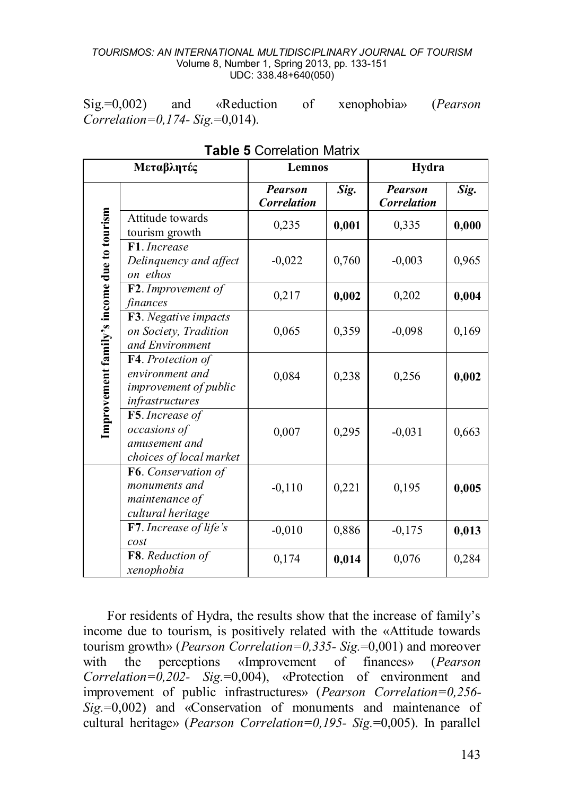Sig.=0,002) and «Reduction of xenophobia» (*Pearson Correlation=0,174- Sig.*=0,014).

| Μεταβλητές                                 |                                                                                  | Lemnos                               |       | Hydra                                |       |
|--------------------------------------------|----------------------------------------------------------------------------------|--------------------------------------|-------|--------------------------------------|-------|
|                                            |                                                                                  | <b>Pearson</b><br><b>Correlation</b> | Sig.  | <b>Pearson</b><br><b>Correlation</b> | Sig.  |
|                                            | Attitude towards<br>tourism growth                                               | 0,235                                | 0,001 | 0,335                                | 0,000 |
|                                            | F1. Increase<br>Delinquency and affect<br>on ethos                               | $-0,022$                             | 0,760 | $-0,003$                             | 0,965 |
|                                            | F2. Improvement of<br>finances                                                   | 0,217                                | 0,002 | 0,202                                | 0,004 |
|                                            | F3. Negative impacts<br>on Society, Tradition<br>and Environment                 | 0,065                                | 0,359 | $-0,098$                             | 0,169 |
| Improvement family's income due to tourism | F4. Protection of<br>environment and<br>improvement of public<br>infrastructures | 0,084                                | 0,238 | 0,256                                | 0,002 |
|                                            | F5. Increase of<br>occasions of<br>amusement and<br>choices of local market      | 0,007                                | 0,295 | $-0,031$                             | 0,663 |
|                                            | F6. Conservation of<br>monuments and<br>maintenance of<br>cultural heritage      | $-0,110$                             | 0,221 | 0,195                                | 0,005 |
|                                            | <b>F7</b> . Increase of life's<br>cost                                           | $-0.010$                             | 0,886 | $-0.175$                             | 0,013 |
|                                            | F8. Reduction of<br>xenophobia                                                   | 0,174                                | 0,014 | 0,076                                | 0,284 |

**Table 5** Correlation Matrix

For residents of Hydra, the results show that the increase of family's income due to tourism, is positively related with the «Attitude towards tourism growth» (*Pearson Correlation=0,335- Sig.*=0,001) and moreover with the perceptions «Improvement of finances» (*Pearson Correlation=0,202- Sig.*=0,004), «Protection of environment and improvement of public infrastructures» (*Pearson Correlation=0,256- Sig.*=0,002) and «Conservation of monuments and maintenance of cultural heritage» (*Pearson Correlation=0,195- Sig.*=0,005). In parallel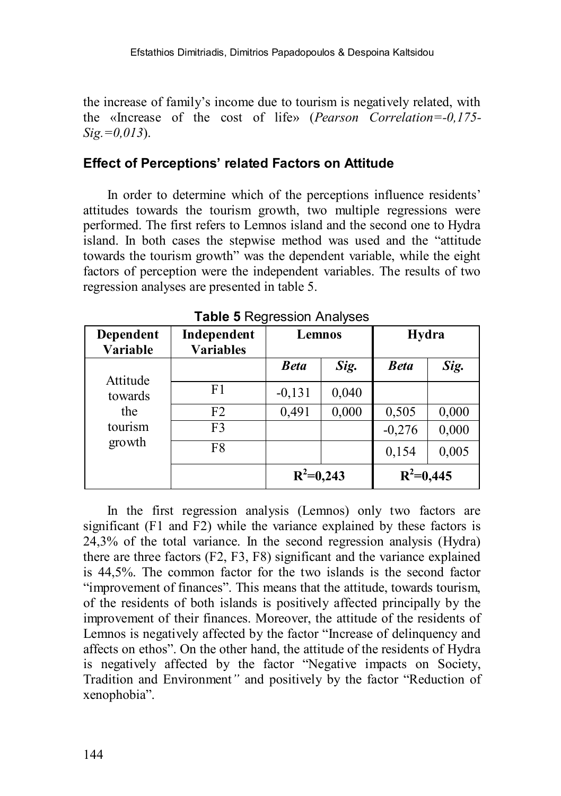the increase of family's income due to tourism is negatively related, with the «Increase of the cost of life» (*Pearson Correlation=-0,175- Sig.=0,013*).

### **Effect of Perceptions' related Factors on Attitude**

In order to determine which of the perceptions influence residents' attitudes towards the tourism growth, two multiple regressions were performed. The first refers to Lemnos island and the second one to Hydra island. In both cases the stepwise method was used and the "attitude towards the tourism growth" was the dependent variable, while the eight factors of perception were the independent variables. The results of two regression analyses are presented in table 5.

| Dependent<br>Variable | Independent<br><b>Variables</b> | Lemnos      |       | Hydra       |       |
|-----------------------|---------------------------------|-------------|-------|-------------|-------|
| Attitude              |                                 | <b>Beta</b> | Sig.  | <b>Beta</b> | Sig.  |
| towards               | F <sub>1</sub>                  | $-0,131$    | 0,040 |             |       |
| the                   | F <sub>2</sub>                  | 0,491       | 0,000 | 0,505       | 0,000 |
| tourism               | F3                              |             |       | $-0,276$    | 0,000 |
| growth                | F8                              |             |       | 0,154       | 0,005 |
|                       |                                 | $R^2=0,243$ |       | $R^2=0,445$ |       |

**Table 5** Regression Analyses

In the first regression analysis (Lemnos) only two factors are significant (F1 and F2) while the variance explained by these factors is 24,3% of the total variance. In the second regression analysis (Hydra) there are three factors (F2, F3, F8) significant and the variance explained is 44,5%. The common factor for the two islands is the second factor "improvement of finances". This means that the attitude, towards tourism, of the residents of both islands is positively affected principally by the improvement of their finances. Moreover, the attitude of the residents of Lemnos is negatively affected by the factor "Increase of delinquency and affects on ethos". On the other hand, the attitude of the residents of Hydra is negatively affected by the factor "Negative impacts on Society, Tradition and Environment*"* and positively by the factor "Reduction of xenophobia".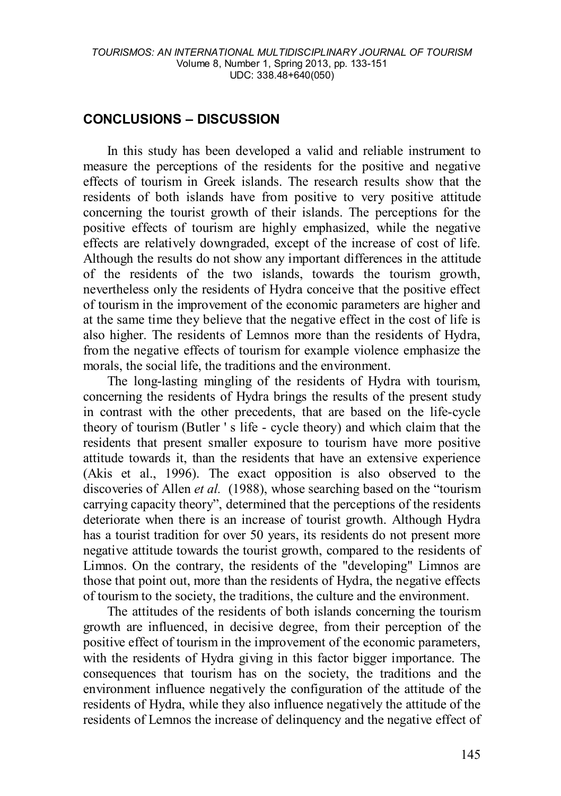### **CONCLUSIONS – DISCUSSION**

In this study has been developed a valid and reliable instrument to measure the perceptions of the residents for the positive and negative effects of tourism in Greek islands. The research results show that the residents of both islands have from positive to very positive attitude concerning the tourist growth of their islands. The perceptions for the positive effects of tourism are highly emphasized, while the negative effects are relatively downgraded, except of the increase of cost of life. Although the results do not show any important differences in the attitude of the residents of the two islands, towards the tourism growth, nevertheless only the residents of Hydra conceive that the positive effect of tourism in the improvement of the economic parameters are higher and at the same time they believe that the negative effect in the cost of life is also higher. The residents of Lemnos more than the residents of Hydra, from the negative effects of tourism for example violence emphasize the morals, the social life, the traditions and the environment.

The long-lasting mingling of the residents of Hydra with tourism, concerning the residents of Hydra brings the results of the present study in contrast with the other precedents, that are based on the life-cycle theory of tourism (Butler ' s life - cycle theory) and which claim that the residents that present smaller exposure to tourism have more positive attitude towards it, than the residents that have an extensive experience (Akis et al., 1996). The exact opposition is also observed to the discoveries of Allen *et al.* (1988), whose searching based on the "tourism carrying capacity theory", determined that the perceptions of the residents deteriorate when there is an increase of tourist growth. Although Hydra has a tourist tradition for over 50 years, its residents do not present more negative attitude towards the tourist growth, compared to the residents of Limnos. On the contrary, the residents of the "developing" Limnos are those that point out, more than the residents of Hydra, the negative effects of tourism to the society, the traditions, the culture and the environment.

The attitudes of the residents of both islands concerning the tourism growth are influenced, in decisive degree, from their perception of the positive effect of tourism in the improvement of the economic parameters, with the residents of Hydra giving in this factor bigger importance. The consequences that tourism has on the society, the traditions and the environment influence negatively the configuration of the attitude of the residents of Hydra, while they also influence negatively the attitude of the residents of Lemnos the increase of delinquency and the negative effect of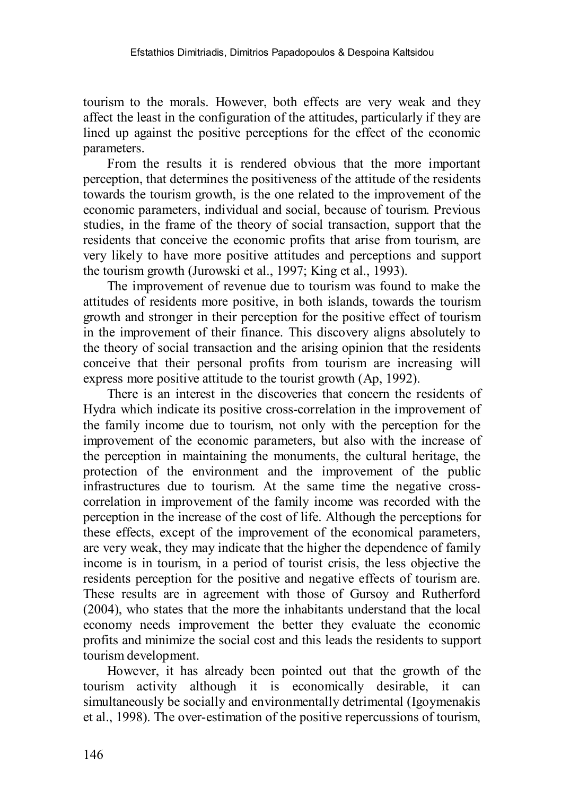tourism to the morals. However, both effects are very weak and they affect the least in the configuration of the attitudes, particularly if they are lined up against the positive perceptions for the effect of the economic parameters.

From the results it is rendered obvious that the more important perception, that determines the positiveness of the attitude of the residents towards the tourism growth, is the one related to the improvement of the economic parameters, individual and social, because of tourism. Previous studies, in the frame of the theory of social transaction, support that the residents that conceive the economic profits that arise from tourism, are very likely to have more positive attitudes and perceptions and support the tourism growth (Jurowski et al., 1997; King et al., 1993).

The improvement of revenue due to tourism was found to make the attitudes of residents more positive, in both islands, towards the tourism growth and stronger in their perception for the positive effect of tourism in the improvement of their finance. This discovery aligns absolutely to the theory of social transaction and the arising opinion that the residents conceive that their personal profits from tourism are increasing will express more positive attitude to the tourist growth (Ap, 1992).

There is an interest in the discoveries that concern the residents of Hydra which indicate its positive cross-correlation in the improvement of the family income due to tourism, not only with the perception for the improvement of the economic parameters, but also with the increase of the perception in maintaining the monuments, the cultural heritage, the protection of the environment and the improvement of the public infrastructures due to tourism. At the same time the negative crosscorrelation in improvement of the family income was recorded with the perception in the increase of the cost of life. Although the perceptions for these effects, except of the improvement of the economical parameters, are very weak, they may indicate that the higher the dependence of family income is in tourism, in a period of tourist crisis, the less objective the residents perception for the positive and negative effects of tourism are. These results are in agreement with those of Gursoy and Rutherford (2004), who states that the more the inhabitants understand that the local economy needs improvement the better they evaluate the economic profits and minimize the social cost and this leads the residents to support tourism development.

However, it has already been pointed out that the growth of the tourism activity although it is economically desirable, it can simultaneously be socially and environmentally detrimental (Igoymenakis et al., 1998). The over-estimation of the positive repercussions of tourism,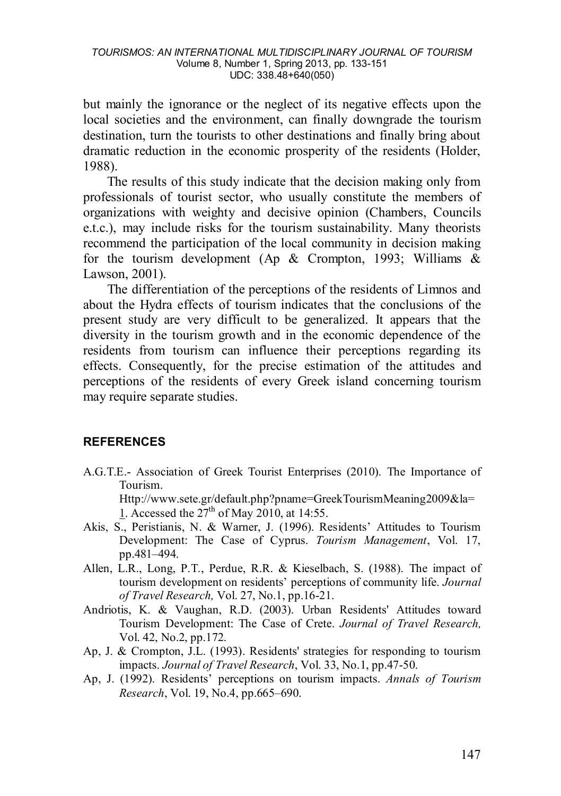but mainly the ignorance or the neglect of its negative effects upon the local societies and the environment, can finally downgrade the tourism destination, turn the tourists to other destinations and finally bring about dramatic reduction in the economic prosperity of the residents (Holder, 1988).

The results of this study indicate that the decision making only from professionals of tourist sector, who usually constitute the members of organizations with weighty and decisive opinion (Chambers, Councils e.t.c.), may include risks for the tourism sustainability. Many theorists recommend the participation of the local community in decision making for the tourism development (Ap  $\&$  Crompton, 1993; Williams  $\&$ Lawson, 2001).

The differentiation of the perceptions of the residents of Limnos and about the Hydra effects of tourism indicates that the conclusions of the present study are very difficult to be generalized. It appears that the diversity in the tourism growth and in the economic dependence of the residents from tourism can influence their perceptions regarding its effects. Consequently, for the precise estimation of the attitudes and perceptions of the residents of every Greek island concerning tourism may require separate studies.

### **REFERENCES**

A.G.T.E.- Association of Greek Tourist Enterprises (2010). The Importance of Tourism.

[Http://www.sete.gr/default.php?pname=GreekTourismMeaning2009&la=](http://www.sete.gr/default.php?pname=GreekTourismMeaning2009&la=1) [1.](http://www.sete.gr/default.php?pname=GreekTourismMeaning2009&la=1) Accessed the  $27<sup>th</sup>$  of May 2010, at 14:55.

- Akis, S., Peristianis, N. & Warner, J. (1996). Residents' Attitudes to Tourism Development: The Case of Cyprus. *Tourism Management*, Vol. 17, pp.481–494.
- Allen, L.R., Long, P.T., Perdue, R.R. & Kieselbach, S. (1988). The impact of tourism development on residents' perceptions of community life. *Journal of Travel Research,* Vol. 27, No.1, pp.16-21.
- Andriotis, K. & Vaughan, R.D. (2003). Urban Residents' Attitudes toward Tourism Development: The Case of Crete. *Journal of Travel Research,*  Vol. 42, No.2, pp.172.
- Ap, J. & Crompton, J.L. (1993). Residents' strategies for responding to tourism impacts. *Journal of Travel Research*, Vol. 33, No.1, pp.47-50.
- Ap, J. (1992). Residents' perceptions on tourism impacts. *Annals of Tourism Research*, Vol. 19, No.4, pp.665–690.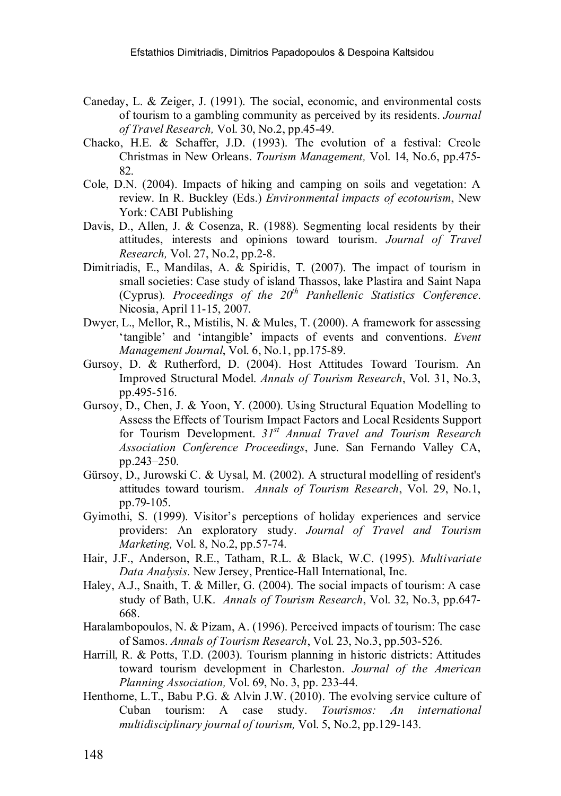- Caneday, L. & Zeiger, J. (1991). The social, economic, and environmental costs of tourism to a gambling community as perceived by its residents. *Journal of Travel Research,* Vol. 30, No.2, pp.45-49.
- Chacko, H.E. & Schaffer, J.D. (1993). The evolution of a festival: Creole Christmas in New Orleans. *Tourism Management,* Vol. 14, No.6, pp.475- 82.
- Cole, D.N. (2004). Impacts of hiking and camping on soils and vegetation: A review. In R. Buckley (Eds.) *Environmental impacts of ecotourism*, New York: CABI Publishing
- Davis, D., Allen, J. & Cosenza, R. (1988). Segmenting local residents by their attitudes, interests and opinions toward tourism. *Journal of Travel Research,* Vol. 27, No.2, pp.2-8.
- Dimitriadis, Ε., Μandilas, Α. & Spiridis, T. (2007). The impact of tourism in small societies: Case study of island Thassos, lake Plastira and Saint Napa (Cyprus)*. Proceedings of the 20th Panhellenic Statistics Conference*. Nicosia, April 11-15, 2007.
- Dwyer, L., Mellor, R., Mistilis, N. & Mules, T. (2000). A framework for assessing 'tangible' and 'intangible' impacts of events and conventions. *Event Management Journal*, Vol. 6, No.1, pp.175-89.
- Gursoy, D. & Rutherford, D. (2004). Host Attitudes Toward Tourism. An Improved Structural Model. *Annals of Tourism Research*, Vol. 31, No.3, pp.495-516.
- Gursoy, D., Chen, J. & Yoon, Y. (2000). Using Structural Equation Modelling to Assess the Effects of Tourism Impact Factors and Local Residents Support for Tourism Development. *31st Annual Travel and Tourism Research Association Conference Proceedings*, June. San Fernando Valley CA, pp.243–250.
- Gürsoy, D., Jurowski C. & Uysal, M. (2002). A structural modelling of resident's attitudes toward tourism. *Annals of Tourism Research*, Vol. 29, No.1, pp.79-105.
- Gyimothi, S. (1999). Visitor's perceptions of holiday experiences and service providers: An exploratory study. *Journal of Travel and Tourism Marketing,* Vol. 8, No.2, pp.57-74.
- Hair, J.F., Anderson, R.E., Tatham, R.L. & Black, W.C. (1995). *Multivariate Data Analysis.* New Jersey, Prentice-Hall International, Inc.
- Haley, A.J., Snaith, T. & Miller, G. (2004). The social impacts of tourism: A case study of Bath, U.K. *Annals of Tourism Research*, Vol. 32, No.3, pp.647- 668.
- Haralambopoulos, N. & Pizam, A. (1996). Perceived impacts of tourism: The case of Samos. *Annals of Tourism Research*, Vol. 23, No.3, pp.503-526.
- Harrill, R. & Potts, Τ.D. (2003). Tourism planning in historic districts: Attitudes toward tourism development in Charleston. *Journal of the American Planning Association,* Vol. 69, No. 3, pp. 233-44.
- Henthorne, L.T., Babu P.G. & Alvin J.W. (2010). The evolving service culture of Cuban tourism: A case study. *Tourismos: An international multidisciplinary journal of tourism,* Vol. 5, No.2, pp.129-143.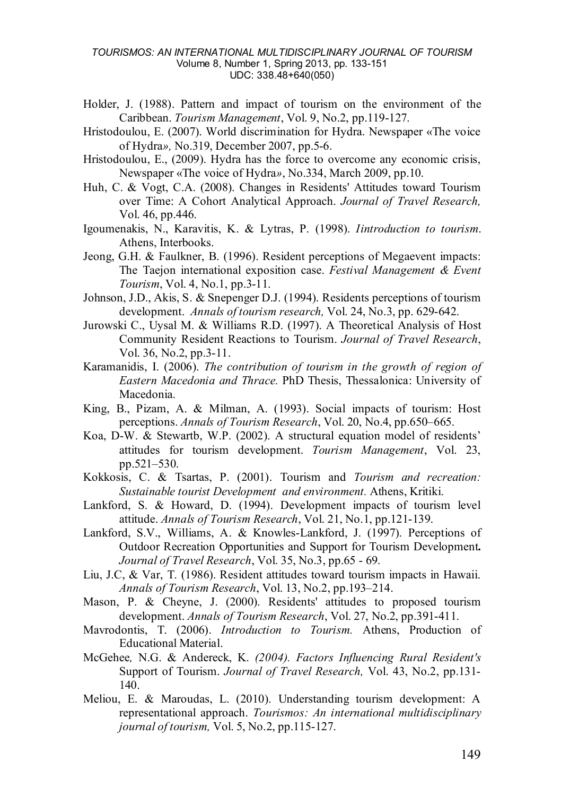- Holder, J. (1988). Pattern and impact of tourism on the environment of the Caribbean. *Tourism Management*, Vol. 9, No.2, pp.119-127.
- Hristodoulou, Ε. (2007). World discrimination for Hydra. Newspaper «The voice of Hydra*»,* No.319, December 2007, pp.5-6.
- Hristodoulou, Ε., (2009). Hydra has the force to overcome any economic crisis, Newspaper «The voice of Hydra*»*, No.334, March 2009, pp.10.
- Huh, C. & Vogt, C.A. (2008). Changes in Residents' Attitudes toward Tourism over Time: A Cohort Analytical Approach. *Journal of Travel Research,*  Vol. 46, pp.446.
- Igoumenakis, N., Karavitis, K. & Lytras, P. (1998). *Iintroduction to tourism*. Athens, Interbooks.
- Jeong, G.H. & Faulkner, B. (1996). Resident perceptions of Megaevent impacts: The Taejon international exposition case. *Festival Management & Event Tourism*, Vol. 4, No.1, pp.3-11.
- Johnson, J.D., Akis, S. & Snepenger D.J. (1994). Residents perceptions of tourism development. *Annals of tourism research,* Vol. 24, No.3, pp. 629-642.
- Jurowski C., Uysal M. & Williams R.D. (1997). A Theoretical Analysis of Host Community Resident Reactions to Tourism. *Journal of Travel Research*, Vol. 36, No.2, pp.3-11.
- Karamanidis, I. (2006). *The contribution of tourism in the growth of region of Eastern Macedonia and Thrace.* PhD Thesis, Thessalonica: University of Macedonia.
- King, B., Pizam, A. & Milman, A. (1993). Social impacts of tourism: Host perceptions. *Annals of Tourism Research*, Vol. 20, No.4, pp.650–665.
- Koa, D-W. & Stewartb, W.P. (2002). A structural equation model of residents' attitudes for tourism development. *Tourism Management*, Vol. 23, pp.521–530.
- Kokkosis, C. & Tsartas, P. (2001). Tourism and *Tourism and recreation: Sustainable tourist Development and environment.* Athens, Kritiki.
- Lankford, S. & Howard, D. (1994). Development impacts of tourism level attitude. *Annals of Tourism Research*, Vol. 21, No.1, pp.121-139.
- Lankford, S.V., Williams, A. & Knowles-Lankford, J. (1997). Perceptions of Outdoor Recreation Opportunities and Support for Tourism Development**.** *Journal of Travel Research*, Vol. 35, No.3, pp.65 - 69.
- Liu, J.C, & Var, T. (1986). Resident attitudes toward tourism impacts in Hawaii. *Annals of Tourism Research*, Vol. 13, No.2, pp.193–214.
- Mason, P. & Cheyne, J. (2000). Residents' attitudes to proposed tourism development. *Annals of Tourism Research*, Vol. 27, No.2, pp.391-411.
- Mavrodontis, T. (2006). *Introduction to Tourism.* Athens, Production of Educational Material.
- McGehee*,* N.G. & Andereck, Κ. *(2004). Factors Influencing Rural Resident's* Support of Tourism. *Journal of Travel Research,* Vol. 43, No.2, pp.131- 140.
- Meliou, E. & Maroudas, L. (2010). Understanding tourism development: A representational approach. *Tourismos: An international multidisciplinary journal of tourism,* Vol. 5, No.2, pp.115-127.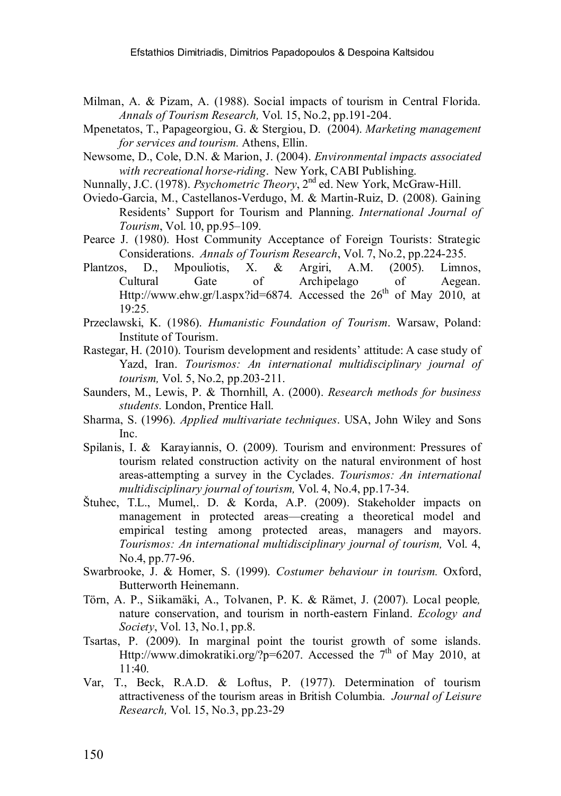- Milman, A. & Pizam, A. (1988). Social impacts of tourism in Central Florida. *Annals of Tourism Research,* Vol. 15, No.2, pp.191-204.
- Mpenetatos, T., Papageorgiou, G. & Stergiou, D. (2004). *Marketing management for services and tourism.* Athens, Ellin.
- Newsome, D., Cole, D.N. & Marion, J. (2004). *Environmental impacts associated with recreational horse-riding*. New York, CABI Publishing.
- Nunnally, J.C. (1978). *Psychometric Theory*, 2<sup>nd</sup> ed. New York, McGraw-Hill.
- Oviedo-Garcia, M., Castellanos-Verdugo, M. & Martin-Ruiz, D. (2008). Gaining Residents' Support for Tourism and Planning. *International Journal of Tourism*, Vol. 10, pp.95–109.
- Pearce J. (1980). Host Community Acceptance of Foreign Tourists: Strategic Considerations. *Annals of Tourism Research*, Vol. 7, No.2, pp.224-235.
- Plantzos, D., Mpouliotis, X. & Argiri, A.M. (2005). Limnos, Cultural Gate of Archipelago of Aegean. [Http://www.ehw.gr/l.aspx?id=6874.](http://www.ehw.gr/l.aspx?id=6874) Accessed the  $26<sup>th</sup>$  of May 2010, at 19:25.
- Przeclawski, K. (1986). *Humanistic Foundation of Tourism*. Warsaw, Poland: Institute of Tourism.
- Rastegar, H. (2010). Tourism development and residents' attitude: A case study of Yazd, Iran. *Tourismos: An international multidisciplinary journal of tourism,* Vol. 5, No.2, pp.203-211.
- Saunders, M., Lewis, P. & Thornhill, A. (2000). *Research methods for business students.* London, Prentice Hall.
- Sharma, S. (1996). *Applied multivariate techniques*. USA, John Wiley and Sons Inc.
- Spilanis, I. & Karayiannis, O. (2009). Tourism and environment: Pressures of tourism related construction activity on the natural environment of host areas-attempting a survey in the Cyclades. *Tourismos: An international multidisciplinary journal of tourism,* Vol. 4, No.4, pp.17-34.
- Štuhec, T.L., Mumel,. D. & Korda, A.P. (2009). Stakeholder impacts on management in protected areas—creating a theoretical model and empirical testing among protected areas, managers and mayors. *Tourismos: An international multidisciplinary journal of tourism,* Vol. 4, No.4, pp.77-96.
- Swarbrooke, J. & Horner, S. (1999). *Costumer behaviour in tourism.* Oxford, Butterworth Heinemann.
- Törn, A. P., Siikamäki, A., Tolvanen, P. K. & Rämet, J. (2007). Local people*,*  nature conservation, and tourism in north-eastern Finland. *Ecology and Society*, Vol. 13, No.1, pp.8.
- Tsartas, P. (2009). In marginal point the tourist growth of some islands. Http://www.dimokratiki.org/?p=6207. Accessed the 7<sup>th</sup> of May 2010, at  $11:40.$
- Var, T., Beck, R.A.D. & Loftus, P. (1977). Determination of tourism attractiveness of the tourism areas in British Columbia. *Journal of Leisure Research,* Vol. 15, No.3, pp.23-29